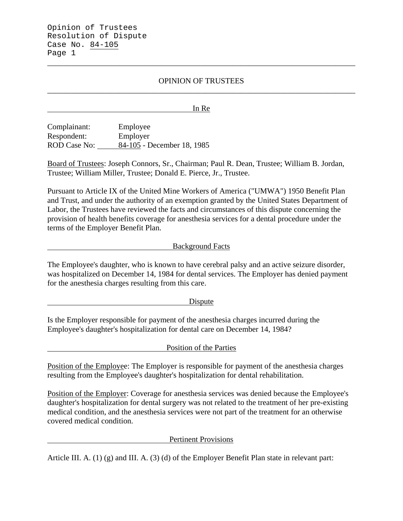Opinion of Trustees Resolution of Dispute Case No. 84-105 Page 1

## OPINION OF TRUSTEES \_\_\_\_\_\_\_\_\_\_\_\_\_\_\_\_\_\_\_\_\_\_\_\_\_\_\_\_\_\_\_\_\_\_\_\_\_\_\_\_\_\_\_\_\_\_\_\_\_\_\_\_\_\_\_\_\_\_\_\_\_\_\_\_\_\_\_\_\_\_\_\_\_\_\_\_\_\_

\_\_\_\_\_\_\_\_\_\_\_\_\_\_\_\_\_\_\_\_\_\_\_\_\_\_\_\_\_\_\_\_\_\_\_\_\_\_\_\_\_\_\_\_\_\_\_\_\_\_\_\_\_\_\_\_\_\_\_\_\_\_\_\_\_\_\_\_\_\_\_\_\_\_\_\_\_\_

In Re

Complainant: Employee Respondent: Employer ROD Case No: 84-105 - December 18, 1985

Board of Trustees: Joseph Connors, Sr., Chairman; Paul R. Dean, Trustee; William B. Jordan, Trustee; William Miller, Trustee; Donald E. Pierce, Jr., Trustee.

Pursuant to Article IX of the United Mine Workers of America ("UMWA") 1950 Benefit Plan and Trust, and under the authority of an exemption granted by the United States Department of Labor, the Trustees have reviewed the facts and circumstances of this dispute concerning the provision of health benefits coverage for anesthesia services for a dental procedure under the terms of the Employer Benefit Plan.

### Background Facts

The Employee's daughter, who is known to have cerebral palsy and an active seizure disorder, was hospitalized on December 14, 1984 for dental services. The Employer has denied payment for the anesthesia charges resulting from this care.

Dispute

Is the Employer responsible for payment of the anesthesia charges incurred during the Employee's daughter's hospitalization for dental care on December 14, 1984?

Position of the Parties

Position of the Employee: The Employer is responsible for payment of the anesthesia charges resulting from the Employee's daughter's hospitalization for dental rehabilitation.

Position of the Employer: Coverage for anesthesia services was denied because the Employee's daughter's hospitalization for dental surgery was not related to the treatment of her pre-existing medical condition, and the anesthesia services were not part of the treatment for an otherwise covered medical condition.

#### Pertinent Provisions

Article III. A. (1) (g) and III. A. (3) (d) of the Employer Benefit Plan state in relevant part: